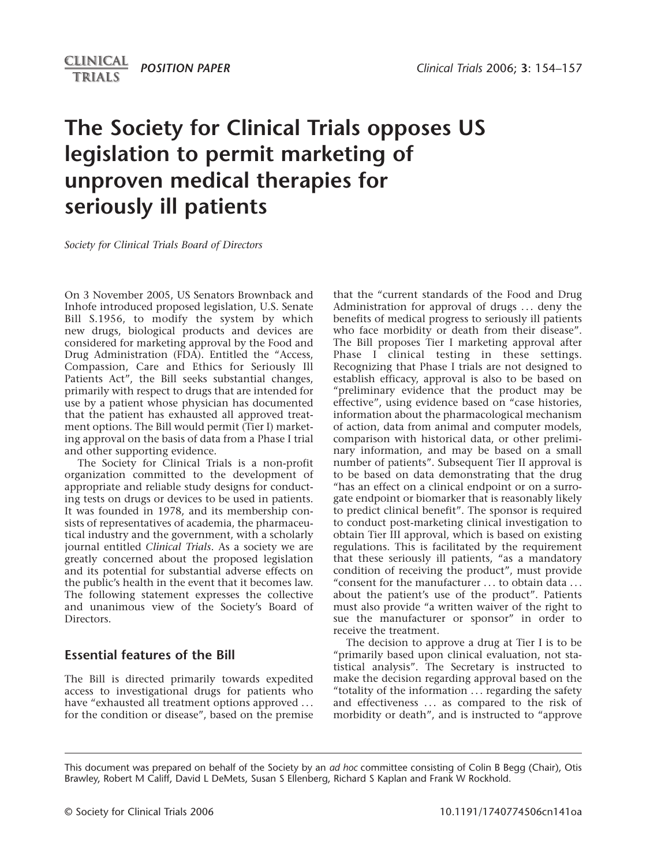# *POSITION PAPER Clinical Trials* 2006; **3**: 154–157

# **The Society for Clinical Trials opposes US legislation to permit marketing of unproven medical therapies for seriously ill patients**

*Society for Clinical Trials Board of Directors*

On 3 November 2005, US Senators Brownback and Inhofe introduced proposed legislation, U.S. Senate Bill S.1956, to modify the system by which new drugs, biological products and devices are considered for marketing approval by the Food and Drug Administration (FDA). Entitled the "Access, Compassion, Care and Ethics for Seriously Ill Patients Act", the Bill seeks substantial changes, primarily with respect to drugs that are intended for use by a patient whose physician has documented that the patient has exhausted all approved treatment options. The Bill would permit (Tier I) marketing approval on the basis of data from a Phase I trial and other supporting evidence.

The Society for Clinical Trials is a non-profit organization committed to the development of appropriate and reliable study designs for conducting tests on drugs or devices to be used in patients. It was founded in 1978, and its membership consists of representatives of academia, the pharmaceutical industry and the government, with a scholarly journal entitled *Clinical Trials*. As a society we are greatly concerned about the proposed legislation and its potential for substantial adverse effects on the public's health in the event that it becomes law. The following statement expresses the collective and unanimous view of the Society's Board of **Directors** 

# **Essential features of the Bill**

The Bill is directed primarily towards expedited access to investigational drugs for patients who have "exhausted all treatment options approved ... for the condition or disease", based on the premise that the "current standards of the Food and Drug Administration for approval of drugs ... deny the benefits of medical progress to seriously ill patients who face morbidity or death from their disease". The Bill proposes Tier I marketing approval after Phase I clinical testing in these settings. Recognizing that Phase I trials are not designed to establish efficacy, approval is also to be based on "preliminary evidence that the product may be effective", using evidence based on "case histories, information about the pharmacological mechanism of action, data from animal and computer models, comparison with historical data, or other preliminary information, and may be based on a small number of patients". Subsequent Tier II approval is to be based on data demonstrating that the drug "has an effect on a clinical endpoint or on a surrogate endpoint or biomarker that is reasonably likely to predict clinical benefit". The sponsor is required to conduct post-marketing clinical investigation to obtain Tier III approval, which is based on existing regulations. This is facilitated by the requirement that these seriously ill patients, "as a mandatory condition of receiving the product", must provide "consent for the manufacturer . . . to obtain data . . . about the patient's use of the product". Patients must also provide "a written waiver of the right to sue the manufacturer or sponsor" in order to receive the treatment.

The decision to approve a drug at Tier I is to be "primarily based upon clinical evaluation, not statistical analysis". The Secretary is instructed to make the decision regarding approval based on the "totality of the information . . . regarding the safety and effectiveness ... as compared to the risk of morbidity or death", and is instructed to "approve

This document was prepared on behalf of the Society by an *ad hoc* committee consisting of Colin B Begg (Chair), Otis Brawley, Robert M Califf, David L DeMets, Susan S Ellenberg, Richard S Kaplan and Frank W Rockhold.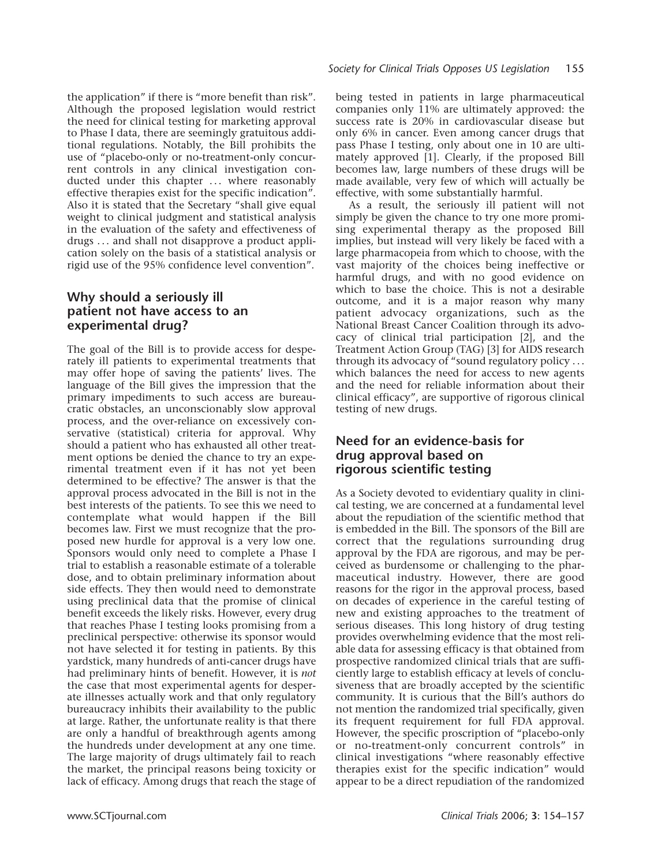the application" if there is "more benefit than risk". Although the proposed legislation would restrict the need for clinical testing for marketing approval to Phase I data, there are seemingly gratuitous additional regulations. Notably, the Bill prohibits the use of "placebo-only or no-treatment-only concurrent controls in any clinical investigation conducted under this chapter ... where reasonably effective therapies exist for the specific indication". Also it is stated that the Secretary "shall give equal weight to clinical judgment and statistical analysis in the evaluation of the safety and effectiveness of drugs . . . and shall not disapprove a product application solely on the basis of a statistical analysis or rigid use of the 95% confidence level convention".

# **Why should a seriously ill patient not have access to an experimental drug?**

The goal of the Bill is to provide access for desperately ill patients to experimental treatments that may offer hope of saving the patients' lives. The language of the Bill gives the impression that the primary impediments to such access are bureaucratic obstacles, an unconscionably slow approval process, and the over-reliance on excessively conservative (statistical) criteria for approval. Why should a patient who has exhausted all other treatment options be denied the chance to try an experimental treatment even if it has not yet been determined to be effective? The answer is that the approval process advocated in the Bill is not in the best interests of the patients. To see this we need to contemplate what would happen if the Bill becomes law. First we must recognize that the proposed new hurdle for approval is a very low one. Sponsors would only need to complete a Phase I trial to establish a reasonable estimate of a tolerable dose, and to obtain preliminary information about side effects. They then would need to demonstrate using preclinical data that the promise of clinical benefit exceeds the likely risks. However, every drug that reaches Phase I testing looks promising from a preclinical perspective: otherwise its sponsor would not have selected it for testing in patients. By this yardstick, many hundreds of anti-cancer drugs have had preliminary hints of benefit. However, it is *not* the case that most experimental agents for desperate illnesses actually work and that only regulatory bureaucracy inhibits their availability to the public at large. Rather, the unfortunate reality is that there are only a handful of breakthrough agents among the hundreds under development at any one time. The large majority of drugs ultimately fail to reach the market, the principal reasons being toxicity or lack of efficacy. Among drugs that reach the stage of being tested in patients in large pharmaceutical companies only 11% are ultimately approved: the success rate is 20% in cardiovascular disease but only 6% in cancer. Even among cancer drugs that pass Phase I testing, only about one in 10 are ultimately approved [1]. Clearly, if the proposed Bill becomes law, large numbers of these drugs will be made available, very few of which will actually be effective, with some substantially harmful.

As a result, the seriously ill patient will not simply be given the chance to try one more promising experimental therapy as the proposed Bill implies, but instead will very likely be faced with a large pharmacopeia from which to choose, with the vast majority of the choices being ineffective or harmful drugs, and with no good evidence on which to base the choice. This is not a desirable outcome, and it is a major reason why many patient advocacy organizations, such as the National Breast Cancer Coalition through its advocacy of clinical trial participation [2], and the Treatment Action Group (TAG) [3] for AIDS research through its advocacy of "sound regulatory policy . . . which balances the need for access to new agents and the need for reliable information about their clinical efficacy", are supportive of rigorous clinical testing of new drugs.

# **Need for an evidence-basis for drug approval based on rigorous scientific testing**

As a Society devoted to evidentiary quality in clinical testing, we are concerned at a fundamental level about the repudiation of the scientific method that is embedded in the Bill. The sponsors of the Bill are correct that the regulations surrounding drug approval by the FDA are rigorous, and may be perceived as burdensome or challenging to the pharmaceutical industry. However, there are good reasons for the rigor in the approval process, based on decades of experience in the careful testing of new and existing approaches to the treatment of serious diseases. This long history of drug testing provides overwhelming evidence that the most reliable data for assessing efficacy is that obtained from prospective randomized clinical trials that are sufficiently large to establish efficacy at levels of conclusiveness that are broadly accepted by the scientific community. It is curious that the Bill's authors do not mention the randomized trial specifically, given its frequent requirement for full FDA approval. However, the specific proscription of "placebo-only or no-treatment-only concurrent controls" in clinical investigations "where reasonably effective therapies exist for the specific indication" would appear to be a direct repudiation of the randomized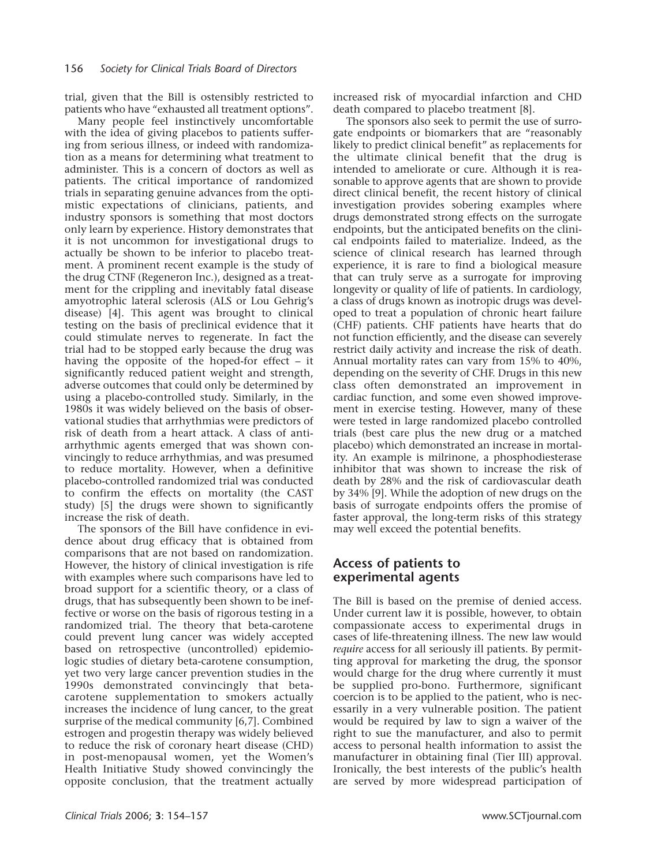trial, given that the Bill is ostensibly restricted to patients who have "exhausted all treatment options".

Many people feel instinctively uncomfortable with the idea of giving placebos to patients suffering from serious illness, or indeed with randomization as a means for determining what treatment to administer. This is a concern of doctors as well as patients. The critical importance of randomized trials in separating genuine advances from the optimistic expectations of clinicians, patients, and industry sponsors is something that most doctors only learn by experience. History demonstrates that it is not uncommon for investigational drugs to actually be shown to be inferior to placebo treatment. A prominent recent example is the study of the drug CTNF (Regeneron Inc.), designed as a treatment for the crippling and inevitably fatal disease amyotrophic lateral sclerosis (ALS or Lou Gehrig's disease) [4]. This agent was brought to clinical testing on the basis of preclinical evidence that it could stimulate nerves to regenerate. In fact the trial had to be stopped early because the drug was having the opposite of the hoped-for effect – it significantly reduced patient weight and strength, adverse outcomes that could only be determined by using a placebo-controlled study. Similarly, in the 1980s it was widely believed on the basis of observational studies that arrhythmias were predictors of risk of death from a heart attack. A class of antiarrhythmic agents emerged that was shown convincingly to reduce arrhythmias, and was presumed to reduce mortality. However, when a definitive placebo-controlled randomized trial was conducted to confirm the effects on mortality (the CAST study) [5] the drugs were shown to significantly increase the risk of death.

The sponsors of the Bill have confidence in evidence about drug efficacy that is obtained from comparisons that are not based on randomization. However, the history of clinical investigation is rife with examples where such comparisons have led to broad support for a scientific theory, or a class of drugs, that has subsequently been shown to be ineffective or worse on the basis of rigorous testing in a randomized trial. The theory that beta-carotene could prevent lung cancer was widely accepted based on retrospective (uncontrolled) epidemiologic studies of dietary beta-carotene consumption, yet two very large cancer prevention studies in the 1990s demonstrated convincingly that betacarotene supplementation to smokers actually increases the incidence of lung cancer, to the great surprise of the medical community [6,7]. Combined estrogen and progestin therapy was widely believed to reduce the risk of coronary heart disease (CHD) in post-menopausal women, yet the Women's Health Initiative Study showed convincingly the opposite conclusion, that the treatment actually

increased risk of myocardial infarction and CHD death compared to placebo treatment [8].

The sponsors also seek to permit the use of surrogate endpoints or biomarkers that are "reasonably likely to predict clinical benefit" as replacements for the ultimate clinical benefit that the drug is intended to ameliorate or cure. Although it is reasonable to approve agents that are shown to provide direct clinical benefit, the recent history of clinical investigation provides sobering examples where drugs demonstrated strong effects on the surrogate endpoints, but the anticipated benefits on the clinical endpoints failed to materialize. Indeed, as the science of clinical research has learned through experience, it is rare to find a biological measure that can truly serve as a surrogate for improving longevity or quality of life of patients. In cardiology, a class of drugs known as inotropic drugs was developed to treat a population of chronic heart failure (CHF) patients. CHF patients have hearts that do not function efficiently, and the disease can severely restrict daily activity and increase the risk of death. Annual mortality rates can vary from 15% to 40%, depending on the severity of CHF. Drugs in this new class often demonstrated an improvement in cardiac function, and some even showed improvement in exercise testing. However, many of these were tested in large randomized placebo controlled trials (best care plus the new drug or a matched placebo) which demonstrated an increase in mortality. An example is milrinone, a phosphodiesterase inhibitor that was shown to increase the risk of death by 28% and the risk of cardiovascular death by 34% [9]. While the adoption of new drugs on the basis of surrogate endpoints offers the promise of faster approval, the long-term risks of this strategy may well exceed the potential benefits.

#### **Access of patients to experimental agents**

The Bill is based on the premise of denied access. Under current law it is possible, however, to obtain compassionate access to experimental drugs in cases of life-threatening illness. The new law would *require* access for all seriously ill patients. By permitting approval for marketing the drug, the sponsor would charge for the drug where currently it must be supplied pro-bono. Furthermore, significant coercion is to be applied to the patient, who is necessarily in a very vulnerable position. The patient would be required by law to sign a waiver of the right to sue the manufacturer, and also to permit access to personal health information to assist the manufacturer in obtaining final (Tier III) approval. Ironically, the best interests of the public's health are served by more widespread participation of